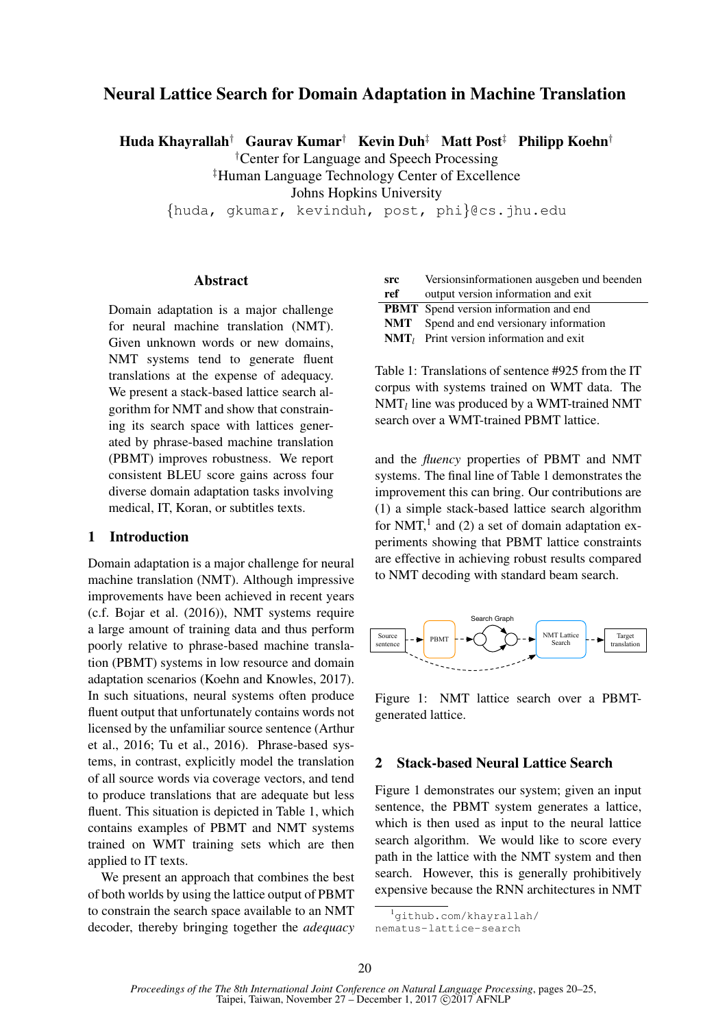# Neural Lattice Search for Domain Adaptation in Machine Translation

Huda Khayrallah† Gaurav Kumar† Kevin Duh‡ Matt Post‡ Philipp Koehn†

†Center for Language and Speech Processing

‡Human Language Technology Center of Excellence

Johns Hopkins University

{huda, gkumar, kevinduh, post, phi}@cs.jhu.edu

### Abstract

Domain adaptation is a major challenge for neural machine translation (NMT). Given unknown words or new domains, NMT systems tend to generate fluent translations at the expense of adequacy. We present a stack-based lattice search algorithm for NMT and show that constraining its search space with lattices generated by phrase-based machine translation (PBMT) improves robustness. We report consistent BLEU score gains across four diverse domain adaptation tasks involving medical, IT, Koran, or subtitles texts.

#### 1 Introduction

Domain adaptation is a major challenge for neural machine translation (NMT). Although impressive improvements have been achieved in recent years (c.f. Bojar et al. (2016)), NMT systems require a large amount of training data and thus perform poorly relative to phrase-based machine translation (PBMT) systems in low resource and domain adaptation scenarios (Koehn and Knowles, 2017). In such situations, neural systems often produce fluent output that unfortunately contains words not licensed by the unfamiliar source sentence (Arthur et al., 2016; Tu et al., 2016). Phrase-based systems, in contrast, explicitly model the translation of all source words via coverage vectors, and tend to produce translations that are adequate but less fluent. This situation is depicted in Table 1, which contains examples of PBMT and NMT systems trained on WMT training sets which are then applied to IT texts.

We present an approach that combines the best of both worlds by using the lattice output of PBMT to constrain the search space available to an NMT decoder, thereby bringing together the *adequacy*

| <b>src</b> | Versionsinformationen ausgeben und beenden      |
|------------|-------------------------------------------------|
| ref        | output version information and exit             |
|            | <b>PBMT</b> Spend version information and end   |
|            | <b>NMT</b> Spend and end versionary information |
|            | $NMT_l$ Print version information and exit      |

Table 1: Translations of sentence #925 from the IT corpus with systems trained on WMT data. The  $NMT_l$  line was produced by a WMT-trained NMT search over a WMT-trained PBMT lattice.

and the *fluency* properties of PBMT and NMT systems. The final line of Table 1 demonstrates the improvement this can bring. Our contributions are (1) a simple stack-based lattice search algorithm for NMT, $<sup>1</sup>$  and (2) a set of domain adaptation ex-</sup> periments showing that PBMT lattice constraints are effective in achieving robust results compared to NMT decoding with standard beam search.



Figure 1: NMT lattice search over a PBMTgenerated lattice.

#### 2 Stack-based Neural Lattice Search

Figure 1 demonstrates our system; given an input sentence, the PBMT system generates a lattice, which is then used as input to the neural lattice search algorithm. We would like to score every path in the lattice with the NMT system and then search. However, this is generally prohibitively expensive because the RNN architectures in NMT

<sup>&</sup>lt;sup>1</sup>github.com/khayrallah/

nematus-lattice-search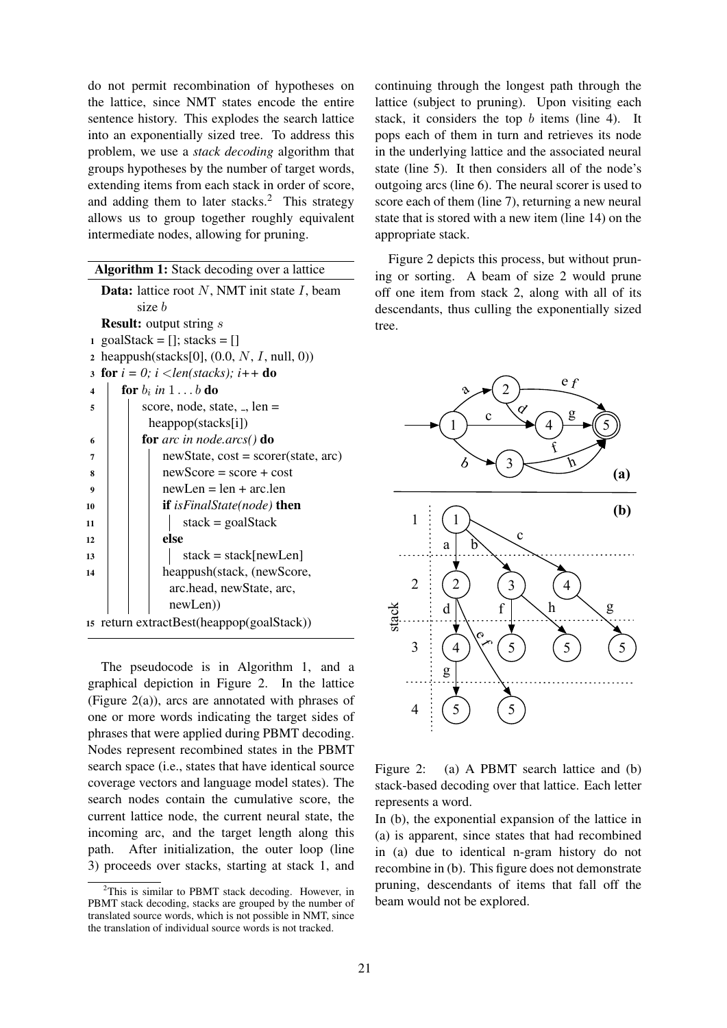do not permit recombination of hypotheses on the lattice, since NMT states encode the entire sentence history. This explodes the search lattice into an exponentially sized tree. To address this problem, we use a *stack decoding* algorithm that groups hypotheses by the number of target words, extending items from each stack in order of score, and adding them to later stacks.<sup>2</sup> This strategy allows us to group together roughly equivalent intermediate nodes, allowing for pruning.

| <b>Algorithm 1:</b> Stack decoding over a lattice         |                                            |                                                     |  |  |  |  |  |  |
|-----------------------------------------------------------|--------------------------------------------|-----------------------------------------------------|--|--|--|--|--|--|
| <b>Data:</b> lattice root $N$ , NMT init state $I$ , beam |                                            |                                                     |  |  |  |  |  |  |
|                                                           | size b                                     |                                                     |  |  |  |  |  |  |
|                                                           | <b>Result:</b> output string <i>s</i>      |                                                     |  |  |  |  |  |  |
| 1                                                         | $goalStack = []$ ; stacks = []             |                                                     |  |  |  |  |  |  |
| $\overline{2}$                                            |                                            | heappush(stacks[0], $(0.0, N, I, \text{null}, 0)$ ) |  |  |  |  |  |  |
| $\overline{\mathbf{3}}$                                   | for $i = 0$ ; $i < len(stacks)$ ; $i++$ do |                                                     |  |  |  |  |  |  |
| $\overline{\mathbf{4}}$                                   |                                            | for $b_i$ in $1 \ldots b$ do                        |  |  |  |  |  |  |
| 5                                                         |                                            | score, node, state, $\Box$ , len =                  |  |  |  |  |  |  |
|                                                           |                                            | $heappop(\text{stacks[i]})$                         |  |  |  |  |  |  |
| 6                                                         |                                            | for arc in node.arcs() do                           |  |  |  |  |  |  |
| $\overline{7}$                                            |                                            | $newState, cost = scorer(state, arc)$               |  |  |  |  |  |  |
| 8                                                         |                                            | $newScore = score + cost$                           |  |  |  |  |  |  |
| 9                                                         |                                            | $newLen = len + arc.length$                         |  |  |  |  |  |  |
| 10                                                        |                                            | <b>if</b> isFinalState(node) <b>then</b>            |  |  |  |  |  |  |
| 11                                                        |                                            | $stack = goalStack$                                 |  |  |  |  |  |  |
| 12                                                        |                                            | else                                                |  |  |  |  |  |  |
| 13                                                        |                                            | $stack = stack[newLen]$                             |  |  |  |  |  |  |
| 14                                                        |                                            | heappush(stack, (newScore,                          |  |  |  |  |  |  |
|                                                           |                                            | arc.head, newState, arc,                            |  |  |  |  |  |  |
|                                                           |                                            | newLen)                                             |  |  |  |  |  |  |
|                                                           | 15 return extractBest(heappop(goalStack))  |                                                     |  |  |  |  |  |  |

The pseudocode is in Algorithm 1, and a graphical depiction in Figure 2. In the lattice (Figure 2(a)), arcs are annotated with phrases of one or more words indicating the target sides of phrases that were applied during PBMT decoding. Nodes represent recombined states in the PBMT search space (i.e., states that have identical source coverage vectors and language model states). The search nodes contain the cumulative score, the current lattice node, the current neural state, the incoming arc, and the target length along this path. After initialization, the outer loop (line 3) proceeds over stacks, starting at stack 1, and

continuing through the longest path through the lattice (subject to pruning). Upon visiting each stack, it considers the top b items (line 4). It pops each of them in turn and retrieves its node in the underlying lattice and the associated neural state (line 5). It then considers all of the node's outgoing arcs (line 6). The neural scorer is used to score each of them (line 7), returning a new neural state that is stored with a new item (line 14) on the appropriate stack.

Figure 2 depicts this process, but without pruning or sorting. A beam of size 2 would prune off one item from stack 2, along with all of its descendants, thus culling the exponentially sized tree.



Figure 2: (a) A PBMT search lattice and (b) stack-based decoding over that lattice. Each letter represents a word.

In (b), the exponential expansion of the lattice in (a) is apparent, since states that had recombined in (a) due to identical n-gram history do not recombine in (b). This figure does not demonstrate pruning, descendants of items that fall off the beam would not be explored.

<sup>&</sup>lt;sup>2</sup>This is similar to PBMT stack decoding. However, in PBMT stack decoding, stacks are grouped by the number of translated source words, which is not possible in NMT, since the translation of individual source words is not tracked.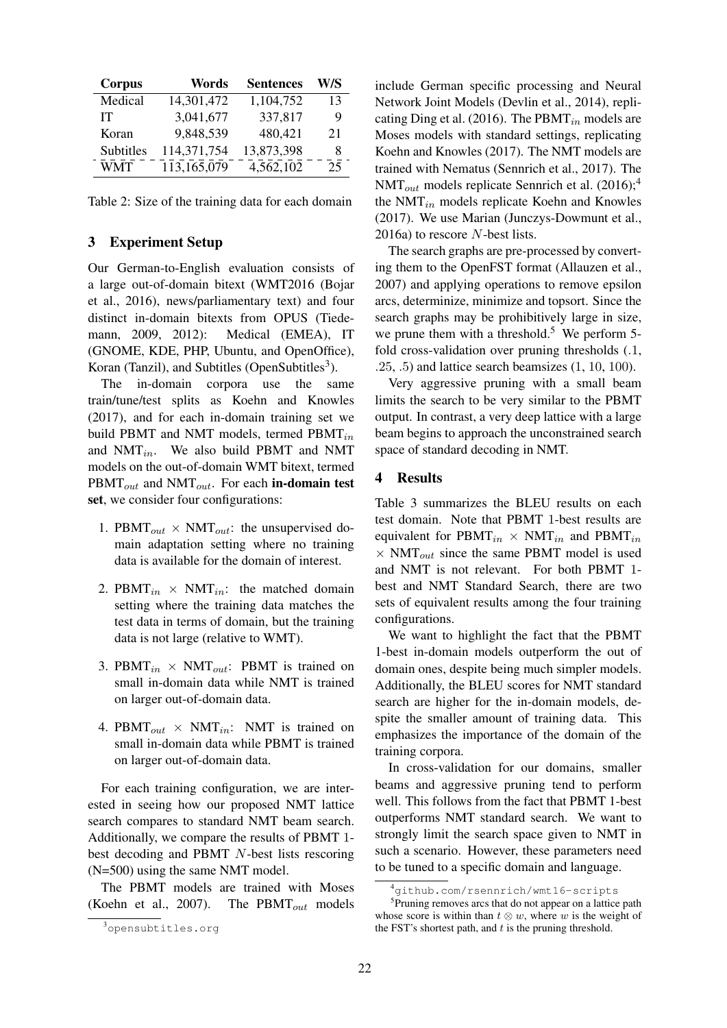| <b>Corpus</b> | Words       | <b>Sentences</b> | W/S |
|---------------|-------------|------------------|-----|
| Medical       | 14,301,472  | 1,104,752        | 13  |
| IТ            | 3,041,677   | 337,817          | 9   |
| Koran         | 9,848,539   | 480,421          | 21  |
| Subtitles     | 114,371,754 | 13,873,398       | 8   |
| WMT           | 113,165,079 | 4,562,102        | 25  |

Table 2: Size of the training data for each domain

### 3 Experiment Setup

Our German-to-English evaluation consists of a large out-of-domain bitext (WMT2016 (Bojar et al., 2016), news/parliamentary text) and four distinct in-domain bitexts from OPUS (Tiedemann, 2009, 2012): Medical (EMEA), IT (GNOME, KDE, PHP, Ubuntu, and OpenOffice), Koran (Tanzil), and Subtitles (OpenSubtitles<sup>3</sup>).

The in-domain corpora use the same train/tune/test splits as Koehn and Knowles (2017), and for each in-domain training set we build PBMT and NMT models, termed  $\text{PBMT}_{in}$ and  $NMT_{in}$ . We also build PBMT and NMT models on the out-of-domain WMT bitext, termed  $\text{PBMT}_{out}$  and  $\text{NMT}_{out}$ . For each in-domain test set, we consider four configurations:

- 1. PBMT<sub>out</sub>  $\times$  NMT<sub>out</sub>: the unsupervised domain adaptation setting where no training data is available for the domain of interest.
- 2. PBMT<sub>in</sub>  $\times$  NMT<sub>in</sub>: the matched domain setting where the training data matches the test data in terms of domain, but the training data is not large (relative to WMT).
- 3. PBMT<sub>in</sub>  $\times$  NMT<sub>out</sub>: PBMT is trained on small in-domain data while NMT is trained on larger out-of-domain data.
- 4. PBMT<sub>out</sub>  $\times$  NMT<sub>in</sub>: NMT is trained on small in-domain data while PBMT is trained on larger out-of-domain data.

For each training configuration, we are interested in seeing how our proposed NMT lattice search compares to standard NMT beam search. Additionally, we compare the results of PBMT 1 best decoding and PBMT N-best lists rescoring (N=500) using the same NMT model.

The PBMT models are trained with Moses (Koehn et al., 2007). The PBMT $_{out}$  models

include German specific processing and Neural Network Joint Models (Devlin et al., 2014), replicating Ding et al. (2016). The PBMT $_{in}$  models are Moses models with standard settings, replicating Koehn and Knowles (2017). The NMT models are trained with Nematus (Sennrich et al., 2017). The  $NMT_{out}$  models replicate Sennrich et al. (2016);<sup>4</sup> the NMT<sub>in</sub> models replicate Koehn and Knowles (2017). We use Marian (Junczys-Dowmunt et al., 2016a) to rescore N-best lists.

The search graphs are pre-processed by converting them to the OpenFST format (Allauzen et al., 2007) and applying operations to remove epsilon arcs, determinize, minimize and topsort. Since the search graphs may be prohibitively large in size, we prune them with a threshold.<sup>5</sup> We perform 5fold cross-validation over pruning thresholds (.1, .25, .5) and lattice search beamsizes (1, 10, 100).

Very aggressive pruning with a small beam limits the search to be very similar to the PBMT output. In contrast, a very deep lattice with a large beam begins to approach the unconstrained search space of standard decoding in NMT.

### 4 Results

Table 3 summarizes the BLEU results on each test domain. Note that PBMT 1-best results are equivalent for PBMT<sub>in</sub>  $\times$  NMT<sub>in</sub> and PBMT<sub>in</sub>  $\times$  NMT<sub>out</sub> since the same PBMT model is used and NMT is not relevant. For both PBMT 1 best and NMT Standard Search, there are two sets of equivalent results among the four training configurations.

We want to highlight the fact that the PBMT 1-best in-domain models outperform the out of domain ones, despite being much simpler models. Additionally, the BLEU scores for NMT standard search are higher for the in-domain models, despite the smaller amount of training data. This emphasizes the importance of the domain of the training corpora.

In cross-validation for our domains, smaller beams and aggressive pruning tend to perform well. This follows from the fact that PBMT 1-best outperforms NMT standard search. We want to strongly limit the search space given to NMT in such a scenario. However, these parameters need to be tuned to a specific domain and language.

<sup>3</sup>opensubtitles.org

<sup>4</sup>github.com/rsennrich/wmt16-scripts

<sup>&</sup>lt;sup>5</sup>Pruning removes arcs that do not appear on a lattice path whose score is within than  $t \otimes w$ , where w is the weight of the FST's shortest path, and  $t$  is the pruning threshold.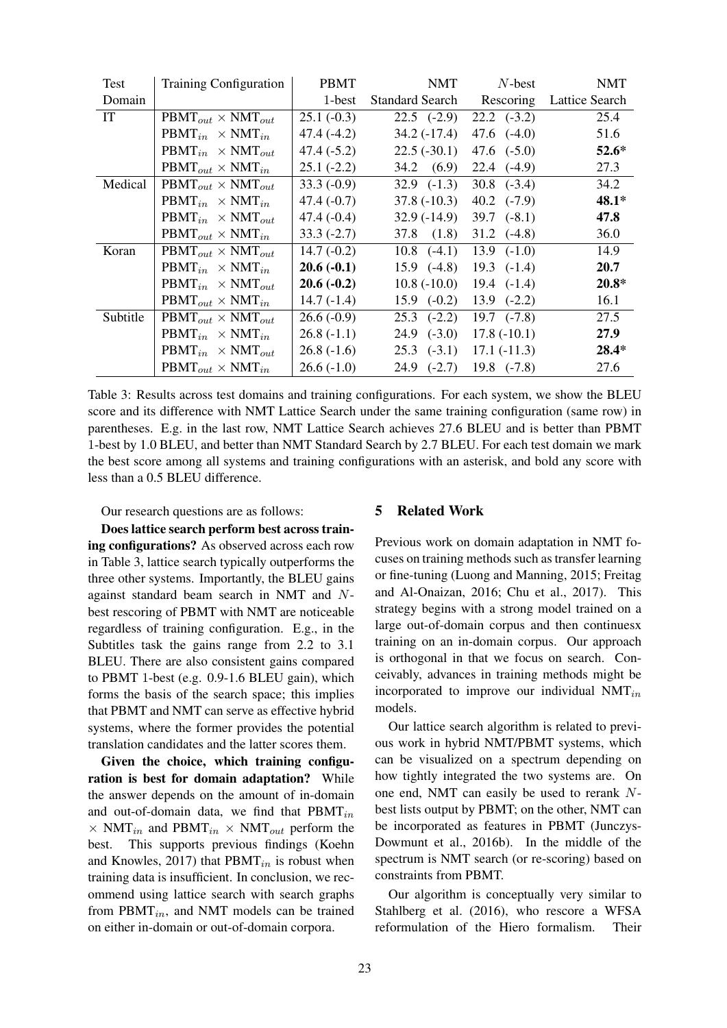| Test     | <b>Training Configuration</b>               | <b>PBMT</b>  | <b>NMT</b>             | $N$ -best           | <b>NMT</b>            |
|----------|---------------------------------------------|--------------|------------------------|---------------------|-----------------------|
| Domain   |                                             | 1-best       | <b>Standard Search</b> | Rescoring           | <b>Lattice Search</b> |
| IT       | $\text{PBMT}_{out} \times \text{NMT}_{out}$ | $25.1(-0.3)$ | $22.5$ $(-2.9)$        | $22.2 \quad (-3.2)$ | 25.4                  |
|          | $\text{PBMT}_{in} \times \text{NMT}_{in}$   | $47.4(-4.2)$ | $34.2(-17.4)$          | $47.6 \quad (-4.0)$ | 51.6                  |
|          | $\text{PBMT}_{in} \times \text{NMT}_{out}$  | $47.4(-5.2)$ | $22.5(-30.1)$          | $47.6 \quad (-5.0)$ | $52.6*$               |
|          | $\text{PBMT}_{out} \times \text{NMT}_{in}$  | $25.1(-2.2)$ | 34.2 (6.9)             | $22.4 \quad (-4.9)$ | 27.3                  |
| Medical  | $\text{PBMT}_{out} \times \text{NMT}_{out}$ | $33.3(-0.9)$ | $32.9$ $(-1.3)$        | $30.8 \quad (-3.4)$ | 34.2                  |
|          | $\text{PBMT}_{in} \times \text{NMT}_{in}$   | $47.4(-0.7)$ | $37.8(-10.3)$          | $40.2 \quad (-7.9)$ | 48.1*                 |
|          | $\text{PBMT}_{in} \times \text{NMT}_{out}$  | $47.4(-0.4)$ | $32.9(-14.9)$          | $39.7$ $(-8.1)$     | 47.8                  |
|          | $\text{PBMT}_{out} \times \text{NMT}_{in}$  | $33.3(-2.7)$ | $37.8$ $(1.8)$         | $31.2 \quad (-4.8)$ | 36.0                  |
| Koran    | $PBMT_{out} \times NMT_{out}$               | $14.7(-0.2)$ | $10.8$ $(-4.1)$        | $13.9$ $(-1.0)$     | 14.9                  |
|          | $\text{PBMT}_{in} \times \text{NMT}_{in}$   | $20.6(-0.1)$ | $15.9$ $(-4.8)$        | $19.3$ $(-1.4)$     | 20.7                  |
|          | $\text{PBMT}_{in} \times \text{NMT}_{out}$  | $20.6(-0.2)$ | $10.8(-10.0)$          | $19.4$ $(-1.4)$     | $20.8*$               |
|          | $\text{PBMT}_{out} \times \text{NMT}_{in}$  | $14.7(-1.4)$ | $15.9$ $(-0.2)$        | $13.9$ $(-2.2)$     | 16.1                  |
| Subtitle | $\text{PBMT}_{out} \times \text{NMT}_{out}$ | $26.6(-0.9)$ | $25.3$ $(-2.2)$        | $19.7$ $(-7.8)$     | 27.5                  |
|          | $\text{PBMT}_{in} \times \text{NMT}_{in}$   | $26.8(-1.1)$ | $24.9$ $(-3.0)$        | $17.8(-10.1)$       | 27.9                  |
|          | $\text{PBMT}_{in} \times \text{NMT}_{out}$  | $26.8(-1.6)$ | $25.3$ $(-3.1)$        | $17.1(-11.3)$       | $28.4*$               |
|          | $\text{PBMT}_{out} \times \text{NMT}_{in}$  | $26.6(-1.0)$ | $24.9$ $(-2.7)$        | $19.8$ $(-7.8)$     | 27.6                  |

Table 3: Results across test domains and training configurations. For each system, we show the BLEU score and its difference with NMT Lattice Search under the same training configuration (same row) in parentheses. E.g. in the last row, NMT Lattice Search achieves 27.6 BLEU and is better than PBMT 1-best by 1.0 BLEU, and better than NMT Standard Search by 2.7 BLEU. For each test domain we mark the best score among all systems and training configurations with an asterisk, and bold any score with less than a 0.5 BLEU difference.

Our research questions are as follows:

Does lattice search perform best across training configurations? As observed across each row in Table 3, lattice search typically outperforms the three other systems. Importantly, the BLEU gains against standard beam search in NMT and Nbest rescoring of PBMT with NMT are noticeable regardless of training configuration. E.g., in the Subtitles task the gains range from 2.2 to 3.1 BLEU. There are also consistent gains compared to PBMT 1-best (e.g. 0.9-1.6 BLEU gain), which forms the basis of the search space; this implies that PBMT and NMT can serve as effective hybrid systems, where the former provides the potential translation candidates and the latter scores them.

Given the choice, which training configuration is best for domain adaptation? While the answer depends on the amount of in-domain and out-of-domain data, we find that  $\text{PBMT}_{in}$  $\times$  NMT<sub>in</sub> and PBMT<sub>in</sub>  $\times$  NMT<sub>out</sub> perform the best. This supports previous findings (Koehn and Knowles, 2017) that  $\text{PBMT}_{in}$  is robust when training data is insufficient. In conclusion, we recommend using lattice search with search graphs from  $\text{PBMT}_{in}$ , and NMT models can be trained on either in-domain or out-of-domain corpora.

#### 5 Related Work

Previous work on domain adaptation in NMT focuses on training methods such as transfer learning or fine-tuning (Luong and Manning, 2015; Freitag and Al-Onaizan, 2016; Chu et al., 2017). This strategy begins with a strong model trained on a large out-of-domain corpus and then continuesx training on an in-domain corpus. Our approach is orthogonal in that we focus on search. Conceivably, advances in training methods might be incorporated to improve our individual NMT<sub>in</sub> models.

Our lattice search algorithm is related to previous work in hybrid NMT/PBMT systems, which can be visualized on a spectrum depending on how tightly integrated the two systems are. On one end, NMT can easily be used to rerank Nbest lists output by PBMT; on the other, NMT can be incorporated as features in PBMT (Junczys-Dowmunt et al., 2016b). In the middle of the spectrum is NMT search (or re-scoring) based on constraints from PBMT.

Our algorithm is conceptually very similar to Stahlberg et al. (2016), who rescore a WFSA reformulation of the Hiero formalism. Their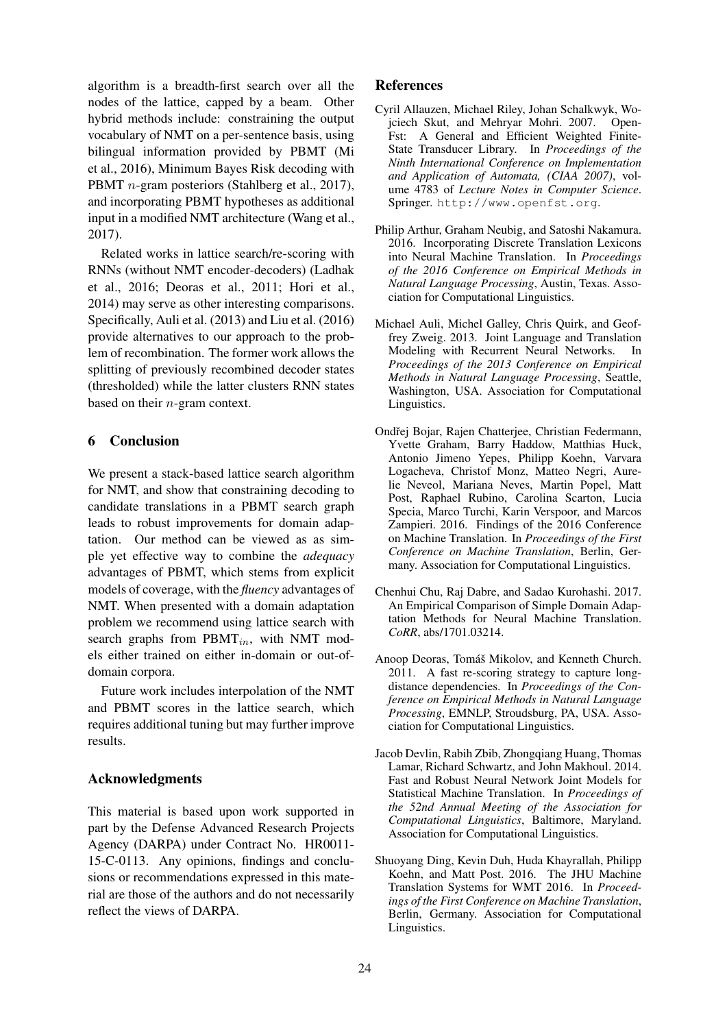algorithm is a breadth-first search over all the nodes of the lattice, capped by a beam. Other hybrid methods include: constraining the output vocabulary of NMT on a per-sentence basis, using bilingual information provided by PBMT (Mi et al., 2016), Minimum Bayes Risk decoding with PBMT *n*-gram posteriors (Stahlberg et al., 2017), and incorporating PBMT hypotheses as additional input in a modified NMT architecture (Wang et al., 2017).

Related works in lattice search/re-scoring with RNNs (without NMT encoder-decoders) (Ladhak et al., 2016; Deoras et al., 2011; Hori et al., 2014) may serve as other interesting comparisons. Specifically, Auli et al. (2013) and Liu et al. (2016) provide alternatives to our approach to the problem of recombination. The former work allows the splitting of previously recombined decoder states (thresholded) while the latter clusters RNN states based on their n-gram context.

# 6 Conclusion

We present a stack-based lattice search algorithm for NMT, and show that constraining decoding to candidate translations in a PBMT search graph leads to robust improvements for domain adaptation. Our method can be viewed as as simple yet effective way to combine the *adequacy* advantages of PBMT, which stems from explicit models of coverage, with the *fluency* advantages of NMT. When presented with a domain adaptation problem we recommend using lattice search with search graphs from  $\text{PBMT}_{in}$ , with NMT models either trained on either in-domain or out-ofdomain corpora.

Future work includes interpolation of the NMT and PBMT scores in the lattice search, which requires additional tuning but may further improve results.

# Acknowledgments

This material is based upon work supported in part by the Defense Advanced Research Projects Agency (DARPA) under Contract No. HR0011- 15-C-0113. Any opinions, findings and conclusions or recommendations expressed in this material are those of the authors and do not necessarily reflect the views of DARPA.

# References

- Cyril Allauzen, Michael Riley, Johan Schalkwyk, Wojciech Skut, and Mehryar Mohri. 2007. Open-Fst: A General and Efficient Weighted Finite-State Transducer Library. In *Proceedings of the Ninth International Conference on Implementation and Application of Automata, (CIAA 2007)*, volume 4783 of *Lecture Notes in Computer Science*. Springer. http://www.openfst.org.
- Philip Arthur, Graham Neubig, and Satoshi Nakamura. 2016. Incorporating Discrete Translation Lexicons into Neural Machine Translation. In *Proceedings of the 2016 Conference on Empirical Methods in Natural Language Processing*, Austin, Texas. Association for Computational Linguistics.
- Michael Auli, Michel Galley, Chris Quirk, and Geoffrey Zweig. 2013. Joint Language and Translation Modeling with Recurrent Neural Networks. In *Proceedings of the 2013 Conference on Empirical Methods in Natural Language Processing*, Seattle, Washington, USA. Association for Computational Linguistics.
- Ondřej Bojar, Rajen Chatterjee, Christian Federmann, Yvette Graham, Barry Haddow, Matthias Huck, Antonio Jimeno Yepes, Philipp Koehn, Varvara Logacheva, Christof Monz, Matteo Negri, Aurelie Neveol, Mariana Neves, Martin Popel, Matt Post, Raphael Rubino, Carolina Scarton, Lucia Specia, Marco Turchi, Karin Verspoor, and Marcos Zampieri. 2016. Findings of the 2016 Conference on Machine Translation. In *Proceedings of the First Conference on Machine Translation*, Berlin, Germany. Association for Computational Linguistics.
- Chenhui Chu, Raj Dabre, and Sadao Kurohashi. 2017. An Empirical Comparison of Simple Domain Adaptation Methods for Neural Machine Translation. *CoRR*, abs/1701.03214.
- Anoop Deoras, Tomáš Mikolov, and Kenneth Church. 2011. A fast re-scoring strategy to capture longdistance dependencies. In *Proceedings of the Conference on Empirical Methods in Natural Language Processing*, EMNLP, Stroudsburg, PA, USA. Association for Computational Linguistics.
- Jacob Devlin, Rabih Zbib, Zhongqiang Huang, Thomas Lamar, Richard Schwartz, and John Makhoul. 2014. Fast and Robust Neural Network Joint Models for Statistical Machine Translation. In *Proceedings of the 52nd Annual Meeting of the Association for Computational Linguistics*, Baltimore, Maryland. Association for Computational Linguistics.
- Shuoyang Ding, Kevin Duh, Huda Khayrallah, Philipp Koehn, and Matt Post. 2016. The JHU Machine Translation Systems for WMT 2016. In *Proceedings of the First Conference on Machine Translation*, Berlin, Germany. Association for Computational Linguistics.